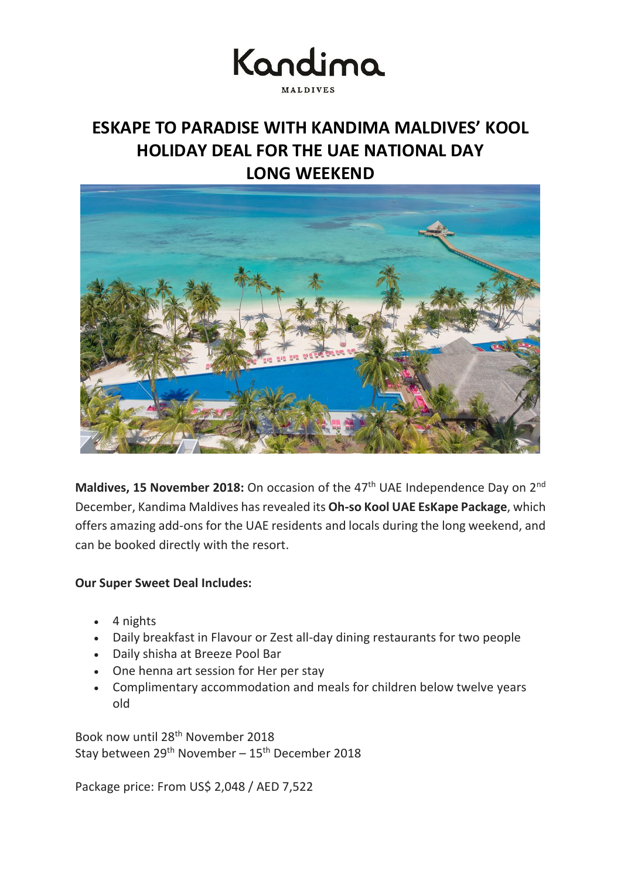## Kandima **MALDIVES**

### **ESKAPE TO PARADISE WITH KANDIMA MALDIVES' KOOL HOLIDAY DEAL FOR THE UAE NATIONAL DAY LONG WEEKEND**



**Maldives, 15 November 2018:** On occasion of the 47<sup>th</sup> UAE Independence Day on 2<sup>nd</sup> December, Kandima Maldives has revealed its **Oh-so Kool UAE EsKape Package**, which offers amazing add-ons for the UAE residents and locals during the long weekend, and can be booked directly with the resort.

### **Our Super Sweet Deal Includes:**

- 4 nights
- Daily breakfast in Flavour or Zest all-day dining restaurants for two people
- Daily shisha at Breeze Pool Bar
- One henna art session for Her per stay
- Complimentary accommodation and meals for children below twelve years old

Book now until 28<sup>th</sup> November 2018 Stay between  $29^{th}$  November –  $15^{th}$  December 2018

Package price: From US\$ 2,048 / AED 7,522